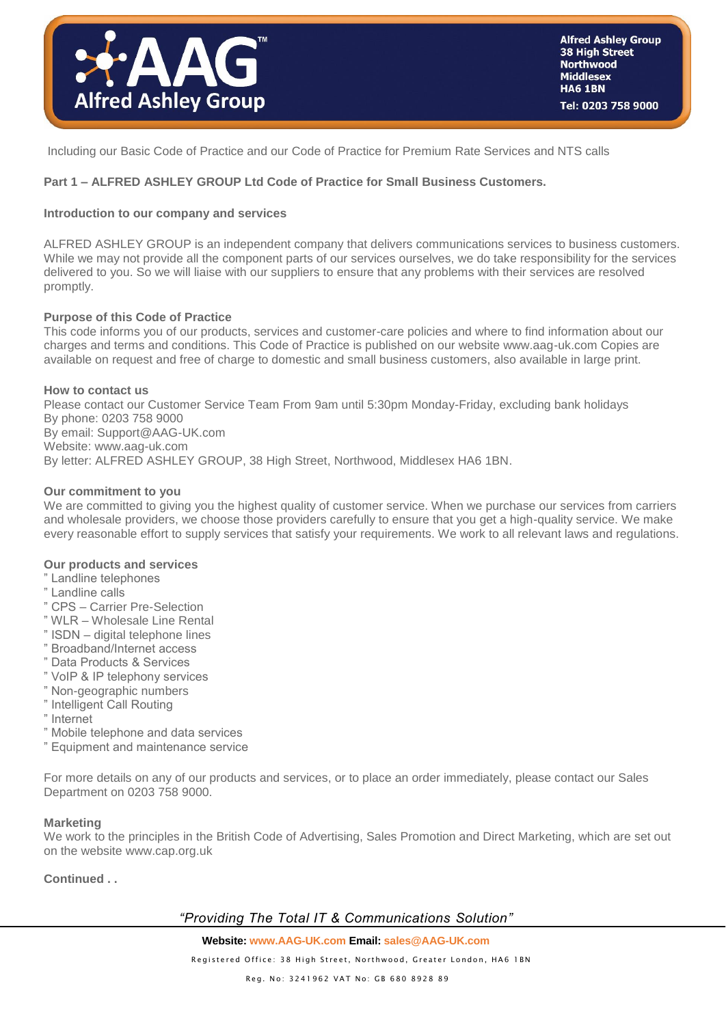

Including our Basic Code of Practice and our Code of Practice for Premium Rate Services and NTS calls

# **Part 1 – ALFRED ASHLEY GROUP Ltd Code of Practice for Small Business Customers.**

# **Introduction to our company and services**

ALFRED ASHLEY GROUP is an independent company that delivers communications services to business customers. While we may not provide all the component parts of our services ourselves, we do take responsibility for the services delivered to you. So we will liaise with our suppliers to ensure that any problems with their services are resolved promptly.

### **Purpose of this Code of Practice**

This code informs you of our products, services and customer-care policies and where to find information about our charges and terms and conditions. This Code of Practice is published on our website www.aag-uk.com Copies are available on request and free of charge to domestic and small business customers, also available in large print.

#### **How to contact us**

Please contact our Customer Service Team From 9am until 5:30pm Monday-Friday, excluding bank holidays By phone: 0203 758 9000 By email: Support@AAG-UK.com Website: www.aag-uk.com By letter: ALFRED ASHLEY GROUP, 38 High Street, Northwood, Middlesex HA6 1BN.

#### **Our commitment to you**

We are committed to giving you the highest quality of customer service. When we purchase our services from carriers and wholesale providers, we choose those providers carefully to ensure that you get a high-quality service. We make every reasonable effort to supply services that satisfy your requirements. We work to all relevant laws and regulations.

#### **Our products and services**

- " Landline telephones
- " Landline calls
- " CPS Carrier Pre-Selection
- " WLR Wholesale Line Rental
- " ISDN digital telephone lines
- " Broadband/Internet access
- " Data Products & Services
- " VoIP & IP telephony services
- " Non-geographic numbers
- " Intelligent Call Routing
- " Internet
- " Mobile telephone and data services
- " Equipment and maintenance service

For more details on any of our products and services, or to place an order immediately, please contact our Sales Department on 0203 758 9000.

### **Marketing**

We work to the principles in the British Code of Advertising, Sales Promotion and Direct Marketing, which are set out on the website www.cap.org.uk

**Continued . .**

# *"Providing The Total IT & Communications Solution"*

**Website: www.AAG-UK.com Email[: sales@AAG-UK.com](mailto:sales@AAG-UK.com)**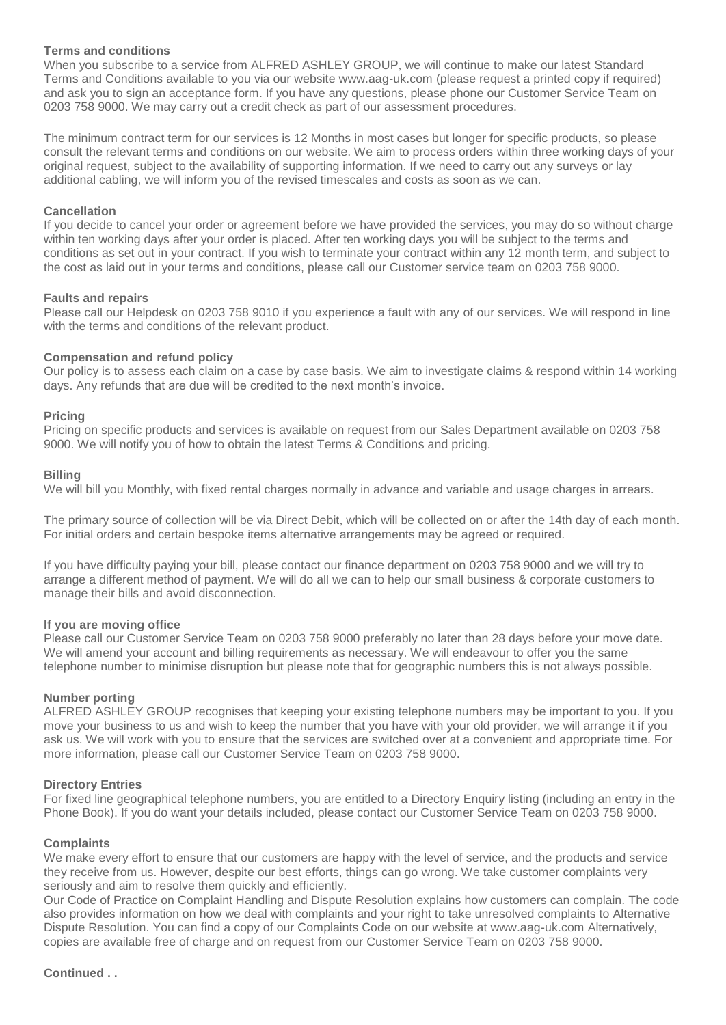## **Terms and conditions**

When you subscribe to a service from ALFRED ASHLEY GROUP, we will continue to make our latest Standard Terms and Conditions available to you via our website www.aag-uk.com (please request a printed copy if required) and ask you to sign an acceptance form. If you have any questions, please phone our Customer Service Team on 0203 758 9000. We may carry out a credit check as part of our assessment procedures.

The minimum contract term for our services is 12 Months in most cases but longer for specific products, so please consult the relevant terms and conditions on our website. We aim to process orders within three working days of your original request, subject to the availability of supporting information. If we need to carry out any surveys or lay additional cabling, we will inform you of the revised timescales and costs as soon as we can.

### **Cancellation**

If you decide to cancel your order or agreement before we have provided the services, you may do so without charge within ten working days after your order is placed. After ten working days you will be subject to the terms and conditions as set out in your contract. If you wish to terminate your contract within any 12 month term, and subject to the cost as laid out in your terms and conditions, please call our Customer service team on 0203 758 9000.

### **Faults and repairs**

Please call our Helpdesk on 0203 758 9010 if you experience a fault with any of our services. We will respond in line with the terms and conditions of the relevant product.

## **Compensation and refund policy**

Our policy is to assess each claim on a case by case basis. We aim to investigate claims & respond within 14 working days. Any refunds that are due will be credited to the next month's invoice.

## **Pricing**

Pricing on specific products and services is available on request from our Sales Department available on 0203 758 9000. We will notify you of how to obtain the latest Terms & Conditions and pricing.

## **Billing**

We will bill you Monthly, with fixed rental charges normally in advance and variable and usage charges in arrears.

The primary source of collection will be via Direct Debit, which will be collected on or after the 14th day of each month. For initial orders and certain bespoke items alternative arrangements may be agreed or required.

If you have difficulty paying your bill, please contact our finance department on 0203 758 9000 and we will try to arrange a different method of payment. We will do all we can to help our small business & corporate customers to manage their bills and avoid disconnection.

### **If you are moving office**

Please call our Customer Service Team on 0203 758 9000 preferably no later than 28 days before your move date. We will amend your account and billing requirements as necessary. We will endeavour to offer you the same telephone number to minimise disruption but please note that for geographic numbers this is not always possible.

### **Number porting**

ALFRED ASHLEY GROUP recognises that keeping your existing telephone numbers may be important to you. If you move your business to us and wish to keep the number that you have with your old provider, we will arrange it if you ask us. We will work with you to ensure that the services are switched over at a convenient and appropriate time. For more information, please call our Customer Service Team on 0203 758 9000.

### **Directory Entries**

For fixed line geographical telephone numbers, you are entitled to a Directory Enquiry listing (including an entry in the Phone Book). If you do want your details included, please contact our Customer Service Team on 0203 758 9000.

### **Complaints**

We make every effort to ensure that our customers are happy with the level of service, and the products and service they receive from us. However, despite our best efforts, things can go wrong. We take customer complaints very seriously and aim to resolve them quickly and efficiently.

Our Code of Practice on Complaint Handling and Dispute Resolution explains how customers can complain. The code also provides information on how we deal with complaints and your right to take unresolved complaints to Alternative Dispute Resolution. You can find a copy of our Complaints Code on our website at www.aag-uk.com Alternatively, copies are available free of charge and on request from our Customer Service Team on 0203 758 9000.

# **Continued . .**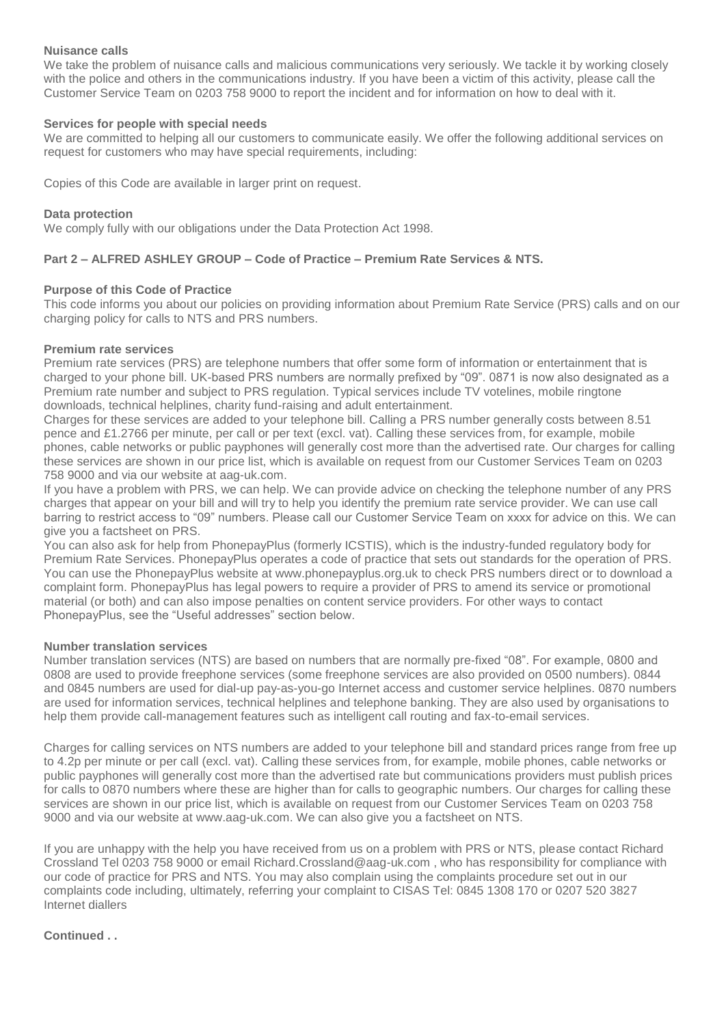## **Nuisance calls**

We take the problem of nuisance calls and malicious communications very seriously. We tackle it by working closely with the police and others in the communications industry. If you have been a victim of this activity, please call the Customer Service Team on 0203 758 9000 to report the incident and for information on how to deal with it.

## **Services for people with special needs**

We are committed to helping all our customers to communicate easily. We offer the following additional services on request for customers who may have special requirements, including:

Copies of this Code are available in larger print on request.

## **Data protection**

We comply fully with our obligations under the Data Protection Act 1998.

# **Part 2 – ALFRED ASHLEY GROUP – Code of Practice – Premium Rate Services & NTS.**

## **Purpose of this Code of Practice**

This code informs you about our policies on providing information about Premium Rate Service (PRS) calls and on our charging policy for calls to NTS and PRS numbers.

## **Premium rate services**

Premium rate services (PRS) are telephone numbers that offer some form of information or entertainment that is charged to your phone bill. UK-based PRS numbers are normally prefixed by "09". 0871 is now also designated as a Premium rate number and subject to PRS regulation. Typical services include TV votelines, mobile ringtone downloads, technical helplines, charity fund-raising and adult entertainment.

Charges for these services are added to your telephone bill. Calling a PRS number generally costs between 8.51 pence and £1.2766 per minute, per call or per text (excl. vat). Calling these services from, for example, mobile phones, cable networks or public payphones will generally cost more than the advertised rate. Our charges for calling these services are shown in our price list, which is available on request from our Customer Services Team on 0203 758 9000 and via our website at aag-uk.com.

If you have a problem with PRS, we can help. We can provide advice on checking the telephone number of any PRS charges that appear on your bill and will try to help you identify the premium rate service provider. We can use call barring to restrict access to "09" numbers. Please call our Customer Service Team on xxxx for advice on this. We can give you a factsheet on PRS.

You can also ask for help from PhonepayPlus (formerly ICSTIS), which is the industry-funded regulatory body for Premium Rate Services. PhonepayPlus operates a code of practice that sets out standards for the operation of PRS. You can use the PhonepayPlus website at www.phonepayplus.org.uk to check PRS numbers direct or to download a complaint form. PhonepayPlus has legal powers to require a provider of PRS to amend its service or promotional material (or both) and can also impose penalties on content service providers. For other ways to contact PhonepayPlus, see the "Useful addresses" section below.

### **Number translation services**

Number translation services (NTS) are based on numbers that are normally pre-fixed "08". For example, 0800 and 0808 are used to provide freephone services (some freephone services are also provided on 0500 numbers). 0844 and 0845 numbers are used for dial-up pay-as-you-go Internet access and customer service helplines. 0870 numbers are used for information services, technical helplines and telephone banking. They are also used by organisations to help them provide call-management features such as intelligent call routing and fax-to-email services.

Charges for calling services on NTS numbers are added to your telephone bill and standard prices range from free up to 4.2p per minute or per call (excl. vat). Calling these services from, for example, mobile phones, cable networks or public payphones will generally cost more than the advertised rate but communications providers must publish prices for calls to 0870 numbers where these are higher than for calls to geographic numbers. Our charges for calling these services are shown in our price list, which is available on request from our Customer Services Team on 0203 758 9000 and via our website at www.aag-uk.com. We can also give you a factsheet on NTS.

If you are unhappy with the help you have received from us on a problem with PRS or NTS, please contact Richard Crossland Tel 0203 758 9000 or email Richard.Crossland@aag-uk.com , who has responsibility for compliance with our code of practice for PRS and NTS. You may also complain using the complaints procedure set out in our complaints code including, ultimately, referring your complaint to CISAS Tel: 0845 1308 170 or 0207 520 3827 Internet diallers

# **Continued . .**